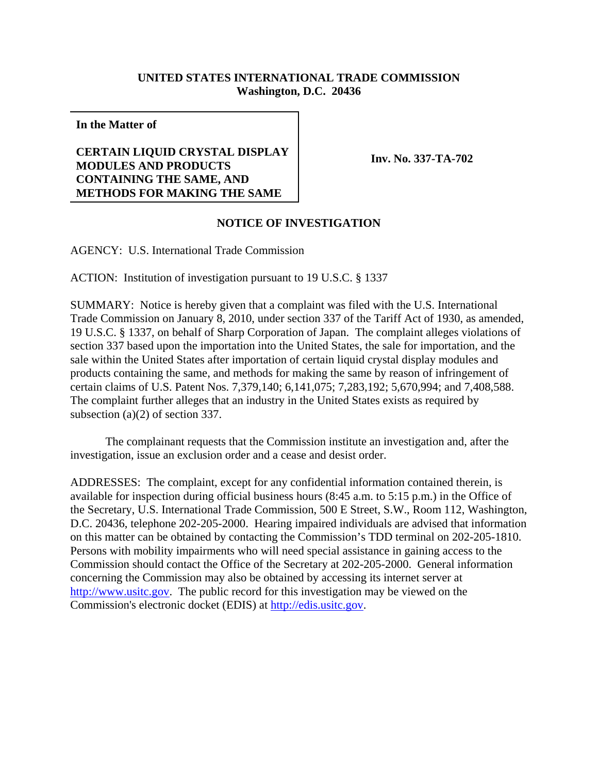## **UNITED STATES INTERNATIONAL TRADE COMMISSION Washington, D.C. 20436**

**In the Matter of**

## **CERTAIN LIQUID CRYSTAL DISPLAY MODULES AND PRODUCTS CONTAINING THE SAME, AND METHODS FOR MAKING THE SAME**

**Inv. No. 337-TA-702**

## **NOTICE OF INVESTIGATION**

AGENCY: U.S. International Trade Commission

ACTION: Institution of investigation pursuant to 19 U.S.C. § 1337

SUMMARY: Notice is hereby given that a complaint was filed with the U.S. International Trade Commission on January 8, 2010, under section 337 of the Tariff Act of 1930, as amended, 19 U.S.C. § 1337, on behalf of Sharp Corporation of Japan. The complaint alleges violations of section 337 based upon the importation into the United States, the sale for importation, and the sale within the United States after importation of certain liquid crystal display modules and products containing the same, and methods for making the same by reason of infringement of certain claims of U.S. Patent Nos. 7,379,140; 6,141,075; 7,283,192; 5,670,994; and 7,408,588. The complaint further alleges that an industry in the United States exists as required by subsection (a)(2) of section 337.

The complainant requests that the Commission institute an investigation and, after the investigation, issue an exclusion order and a cease and desist order.

ADDRESSES: The complaint, except for any confidential information contained therein, is available for inspection during official business hours (8:45 a.m. to 5:15 p.m.) in the Office of the Secretary, U.S. International Trade Commission, 500 E Street, S.W., Room 112, Washington, D.C. 20436, telephone 202-205-2000. Hearing impaired individuals are advised that information on this matter can be obtained by contacting the Commission's TDD terminal on 202-205-1810. Persons with mobility impairments who will need special assistance in gaining access to the Commission should contact the Office of the Secretary at 202-205-2000. General information concerning the Commission may also be obtained by accessing its internet server at http://www.usitc.gov. The public record for this investigation may be viewed on the Commission's electronic docket (EDIS) at http://edis.usitc.gov.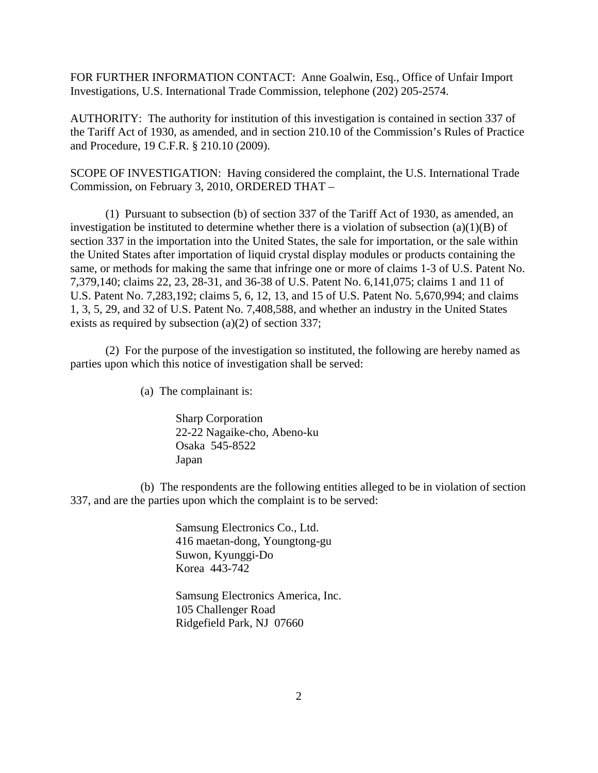FOR FURTHER INFORMATION CONTACT: Anne Goalwin, Esq., Office of Unfair Import Investigations, U.S. International Trade Commission, telephone (202) 205-2574.

AUTHORITY: The authority for institution of this investigation is contained in section 337 of the Tariff Act of 1930, as amended, and in section 210.10 of the Commission's Rules of Practice and Procedure, 19 C.F.R. § 210.10 (2009).

SCOPE OF INVESTIGATION: Having considered the complaint, the U.S. International Trade Commission, on February 3, 2010, ORDERED THAT –

(1) Pursuant to subsection (b) of section 337 of the Tariff Act of 1930, as amended, an investigation be instituted to determine whether there is a violation of subsection (a)(1)(B) of section 337 in the importation into the United States, the sale for importation, or the sale within the United States after importation of liquid crystal display modules or products containing the same, or methods for making the same that infringe one or more of claims 1-3 of U.S. Patent No. 7,379,140; claims 22, 23, 28-31, and 36-38 of U.S. Patent No. 6,141,075; claims 1 and 11 of U.S. Patent No. 7,283,192; claims 5, 6, 12, 13, and 15 of U.S. Patent No. 5,670,994; and claims 1, 3, 5, 29, and 32 of U.S. Patent No. 7,408,588, and whether an industry in the United States exists as required by subsection  $(a)(2)$  of section 337;

(2) For the purpose of the investigation so instituted, the following are hereby named as parties upon which this notice of investigation shall be served:

(a) The complainant is:

Sharp Corporation 22-22 Nagaike-cho, Abeno-ku Osaka 545-8522 Japan

(b) The respondents are the following entities alleged to be in violation of section 337, and are the parties upon which the complaint is to be served:

> Samsung Electronics Co., Ltd. 416 maetan-dong, Youngtong-gu Suwon, Kyunggi-Do Korea 443-742

Samsung Electronics America, Inc. 105 Challenger Road Ridgefield Park, NJ 07660